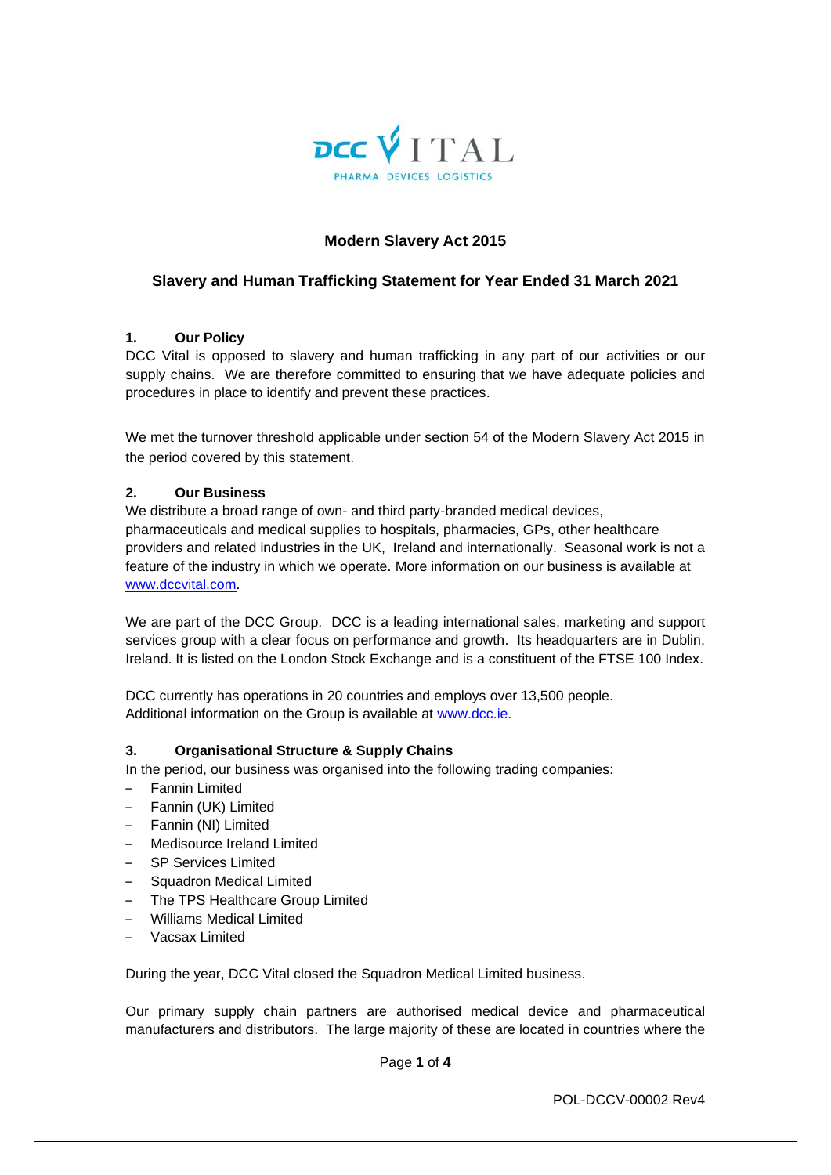

# **Modern Slavery Act 2015**

### **Slavery and Human Trafficking Statement for Year Ended 31 March 2021**

#### **1. Our Policy**

DCC Vital is opposed to slavery and human trafficking in any part of our activities or our supply chains. We are therefore committed to ensuring that we have adequate policies and procedures in place to identify and prevent these practices.

We met the turnover threshold applicable under section 54 of the Modern Slavery Act 2015 in the period covered by this statement.

### **2. Our Business**

We distribute a broad range of own- and third party-branded medical devices, pharmaceuticals and medical supplies to hospitals, pharmacies, GPs, other healthcare providers and related industries in the UK, Ireland and internationally. Seasonal work is not a feature of the industry in which we operate. More information on our business is available at [www.dccvital.com.](http://www.dccvital.com/)

We are part of the DCC Group. DCC is a leading international sales, marketing and support services group with a clear focus on performance and growth. Its headquarters are in Dublin, Ireland. It is listed on the London Stock Exchange and is a constituent of the FTSE 100 Index.

DCC currently has operations in 20 countries and employs over 13,500 people. Additional information on the Group is available at [www.dcc.ie.](http://www.dcc.ie/)

### **3. Organisational Structure & Supply Chains**

In the period, our business was organised into the following trading companies:

- Fannin Limited
- Fannin (UK) Limited
- Fannin (NI) Limited
- Medisource Ireland Limited
- SP Services Limited
- Squadron Medical Limited
- The TPS Healthcare Group Limited
- Williams Medical Limited
- Vacsax Limited

During the year, DCC Vital closed the Squadron Medical Limited business.

Our primary supply chain partners are authorised medical device and pharmaceutical manufacturers and distributors. The large majority of these are located in countries where the

Page **1** of **4**

POL-DCCV-00002 Rev4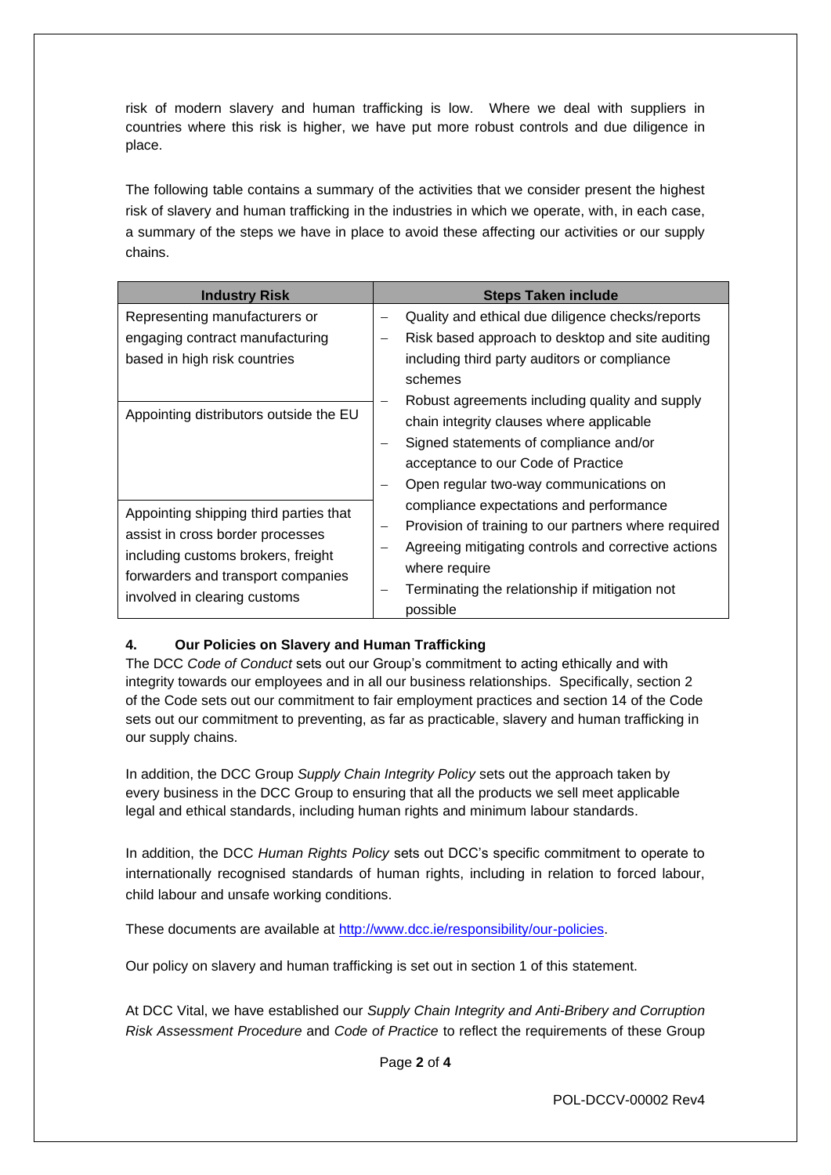risk of modern slavery and human trafficking is low. Where we deal with suppliers in countries where this risk is higher, we have put more robust controls and due diligence in place.

The following table contains a summary of the activities that we consider present the highest risk of slavery and human trafficking in the industries in which we operate, with, in each case, a summary of the steps we have in place to avoid these affecting our activities or our supply chains.

| <b>Industry Risk</b>                                                                                                                                                                   | <b>Steps Taken include</b>                                                                                                                                                                                                            |
|----------------------------------------------------------------------------------------------------------------------------------------------------------------------------------------|---------------------------------------------------------------------------------------------------------------------------------------------------------------------------------------------------------------------------------------|
| Representing manufacturers or<br>engaging contract manufacturing<br>based in high risk countries                                                                                       | Quality and ethical due diligence checks/reports<br>Risk based approach to desktop and site auditing<br>$\qquad \qquad$<br>including third party auditors or compliance<br>schemes                                                    |
| Appointing distributors outside the EU                                                                                                                                                 | Robust agreements including quality and supply<br>chain integrity clauses where applicable<br>Signed statements of compliance and/or<br>acceptance to our Code of Practice<br>Open regular two-way communications on                  |
| Appointing shipping third parties that<br>assist in cross border processes<br>including customs brokers, freight<br>forwarders and transport companies<br>involved in clearing customs | compliance expectations and performance<br>Provision of training to our partners where required<br>Agreeing mitigating controls and corrective actions<br>where require<br>Terminating the relationship if mitigation not<br>possible |

# **4. Our Policies on Slavery and Human Trafficking**

The DCC *Code of Conduct* sets out our Group's commitment to acting ethically and with integrity towards our employees and in all our business relationships. Specifically, section 2 of the Code sets out our commitment to fair employment practices and section 14 of the Code sets out our commitment to preventing, as far as practicable, slavery and human trafficking in our supply chains.

In addition, the DCC Group *Supply Chain Integrity Policy* sets out the approach taken by every business in the DCC Group to ensuring that all the products we sell meet applicable legal and ethical standards, including human rights and minimum labour standards.

In addition, the DCC *Human Rights Policy* sets out DCC's specific commitment to operate to internationally recognised standards of human rights, including in relation to forced labour, child labour and unsafe working conditions.

These documents are available at [http://www.dcc.ie/responsibility/our-policies.](http://www.dcc.ie/responsibility/our-policies)

Our policy on slavery and human trafficking is set out in section 1 of this statement.

At DCC Vital, we have established our *Supply Chain Integrity and Anti-Bribery and Corruption Risk Assessment Procedure* and *Code of Practice* to reflect the requirements of these Group

Page **2** of **4**

POL-DCCV-00002 Rev4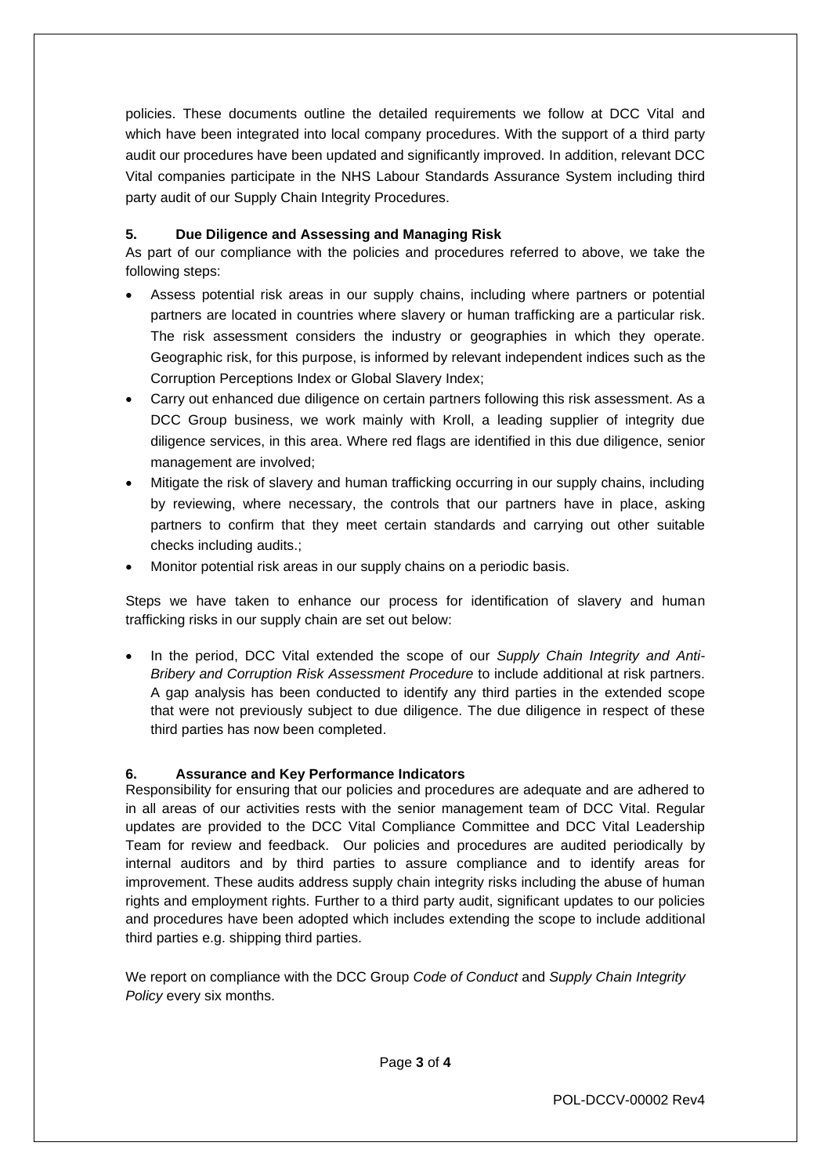policies. These documents outline the detailed requirements we follow at DCC Vital and which have been integrated into local company procedures. With the support of a third party audit our procedures have been updated and significantly improved. In addition, relevant DCC Vital companies participate in the NHS Labour Standards Assurance System including third party audit of our Supply Chain Integrity Procedures.

## **5. Due Diligence and Assessing and Managing Risk**

As part of our compliance with the policies and procedures referred to above, we take the following steps:

- Assess potential risk areas in our supply chains, including where partners or potential partners are located in countries where slavery or human trafficking are a particular risk. The risk assessment considers the industry or geographies in which they operate. Geographic risk, for this purpose, is informed by relevant independent indices such as the Corruption Perceptions Index or Global Slavery Index;
- Carry out enhanced due diligence on certain partners following this risk assessment. As a DCC Group business, we work mainly with Kroll, a leading supplier of integrity due diligence services, in this area. Where red flags are identified in this due diligence, senior management are involved;
- Mitigate the risk of slavery and human trafficking occurring in our supply chains, including by reviewing, where necessary, the controls that our partners have in place, asking partners to confirm that they meet certain standards and carrying out other suitable checks including audits.;
- Monitor potential risk areas in our supply chains on a periodic basis.

Steps we have taken to enhance our process for identification of slavery and human trafficking risks in our supply chain are set out below:

• In the period, DCC Vital extended the scope of our *Supply Chain Integrity and Anti-Bribery and Corruption Risk Assessment Procedure* to include additional at risk partners. A gap analysis has been conducted to identify any third parties in the extended scope that were not previously subject to due diligence. The due diligence in respect of these third parties has now been completed.

### **6. Assurance and Key Performance Indicators**

Responsibility for ensuring that our policies and procedures are adequate and are adhered to in all areas of our activities rests with the senior management team of DCC Vital. Regular updates are provided to the DCC Vital Compliance Committee and DCC Vital Leadership Team for review and feedback. Our policies and procedures are audited periodically by internal auditors and by third parties to assure compliance and to identify areas for improvement. These audits address supply chain integrity risks including the abuse of human rights and employment rights. Further to a third party audit, significant updates to our policies and procedures have been adopted which includes extending the scope to include additional third parties e.g. shipping third parties.

We report on compliance with the DCC Group *Code of Conduct* and *Supply Chain Integrity Policy* every six months.